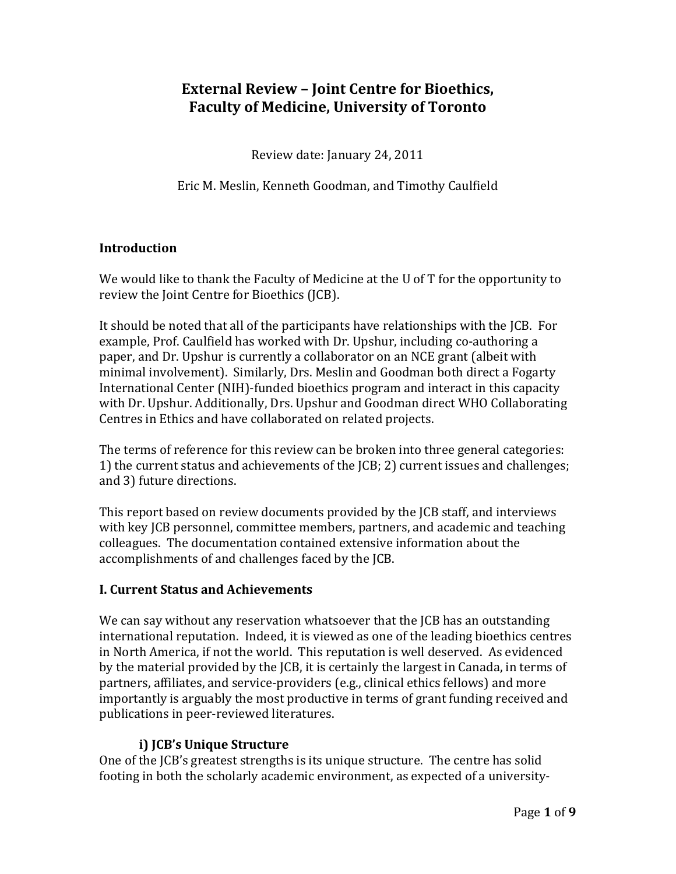# **External Review – Joint Centre for Bioethics, Faculty of Medicine, University of Toronto**

Review date: January 24, 2011

Eric M. Meslin, Kenneth Goodman, and Timothy Caulfield

## **Introduction**

We would like to thank the Faculty of Medicine at the U of T for the opportunity to review the Joint Centre for Bioethics (JCB).

It should be noted that all of the participants have relationships with the JCB. For example, Prof. Caulfield has worked with Dr. Upshur, including co-authoring a paper, and Dr. Upshur is currently a collaborator on an NCE grant (albeit with minimal involvement). Similarly, Drs. Meslin and Goodman both direct a Fogarty International Center (NIH)‐funded bioethics program and interact in this capacity with Dr. Upshur. Additionally, Drs. Upshur and Goodman direct WHO Collaborating Centres in Ethics and have collaborated on related projects.

The terms of reference for this review can be broken into three general categories: 1) the current status and achievements of the JCB; 2) current issues and challenges; and 3) future directions.

This report based on review documents provided by the JCB staff, and interviews with key JCB personnel, committee members, partners, and academic and teaching olleagues. The documentation contained extensive information about the c accomplishments of and challenges faced by the JCB.

### **I. Current Status and Achievements**

We can say without any reservation whatsoever that the JCB has an outstanding international reputation. Indeed, it is viewed as one of the leading bioethics centres in North America, if not the world. This reputation is well deserved. As evidenced by the material provided by the JCB, it is certainly the largest in Canada, in terms of partners, affiliates, and service‐providers (e.g., clinical ethics fellows) and more mportantly is arguably the most productive in terms of grant funding received and i publications in peer-reviewed literatures.

### **i) JCB's Unique Structure**

One of the JCB's greatest strengths is its unique structure. The centre has solid footing in both the scholarly academic environment, as expected of a university‐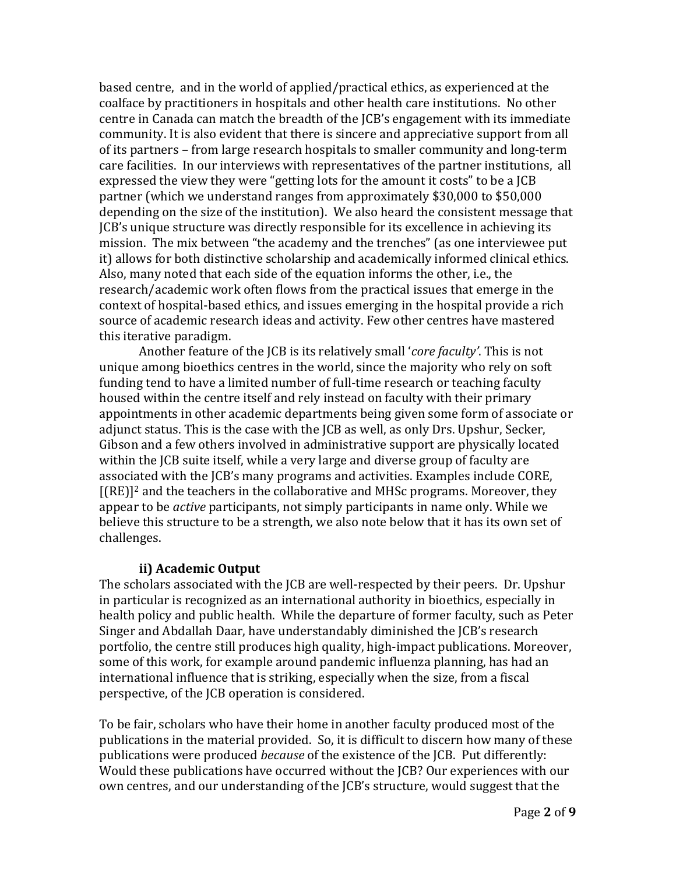based centre, and in the world of applied/practical ethics, as experienced at the coalface by practitioners in hospitals and other health care institutions. No other centre in Canada can match the breadth of the JCB's engagement with its immediate community. It is also evident that there is sincere and appreciative support from all of its partners – from large research hospitals to smaller community and long‐term care facilities. In our interviews with representatives of the partner institutions, all expressed the view they were "getting lots for the amount it costs" to be a JCB partner (which we understand ranges from approximately \$30,000 to \$50,000 depending on the size of the institution). We also heard the consistent message that JCB's unique structure was directly responsible for its excellence in achieving its mission. The mix between "the academy and the trenches" (as one interviewee put it) allows for both distinctive scholarship and academically informed clinical ethics. Also, many noted that each side of the equation informs the other, i.e., the research/academic work often flows from the practical issues that emerge in the context of hospital‐based ethics, and issues emerging in the hospital provide a rich source of academic research ideas and activity. Few other centres have mastered this iterative paradigm.

 Another feature of the JCB is its relatively small '*core faculty'*. This is not unique among bioethics centres in the world, since the majority who rely on soft funding tend to have a limited number of full-time research or teaching faculty housed within the centre itself and rely instead on faculty with their primary appointments in other academic departments being given some form of associate or adjunct status. This is the case with the JCB as well, as only Drs. Upshur, Secker, Gibson and a few others involved in administrative support are physically located within the JCB suite itself, while a very large and diverse group of faculty are associated with the JCB's many programs and activities. Examples include CORE,  $[(RE)]^2$  and the teachers in the collaborative and MHSc programs. Moreover, they appear to be *active* participants, not simply participants in name only. While we believe this structure to be a strength, we also note below that it has its own set of hallenges. c

#### **ii) Academic Output**

perspective, of the JCB operation is considered. The scholars associated with the JCB are well-respected by their peers. Dr. Upshur in particular is recognized as an international authority in bioethics, especially in health policy and public health. While the departure of former faculty, such as Peter Singer and Abdallah Daar, have understandably diminished the JCB's research portfolio, the centre still produces high quality, high‐impact publications. Moreover, some of this work, for example around pandemic influenza planning, has had an international influence that is striking, especially when the size, from a fiscal

To be fair, scholars who have their home in another faculty produced most of the publications in the material provided. So, it is difficult to discern how many of these publications were produced *because* of the existence of the JCB. Put differently: Would these publications have occurred without the JCB? Our experiences with our own centres, and our understanding of the JCB's structure, would suggest that the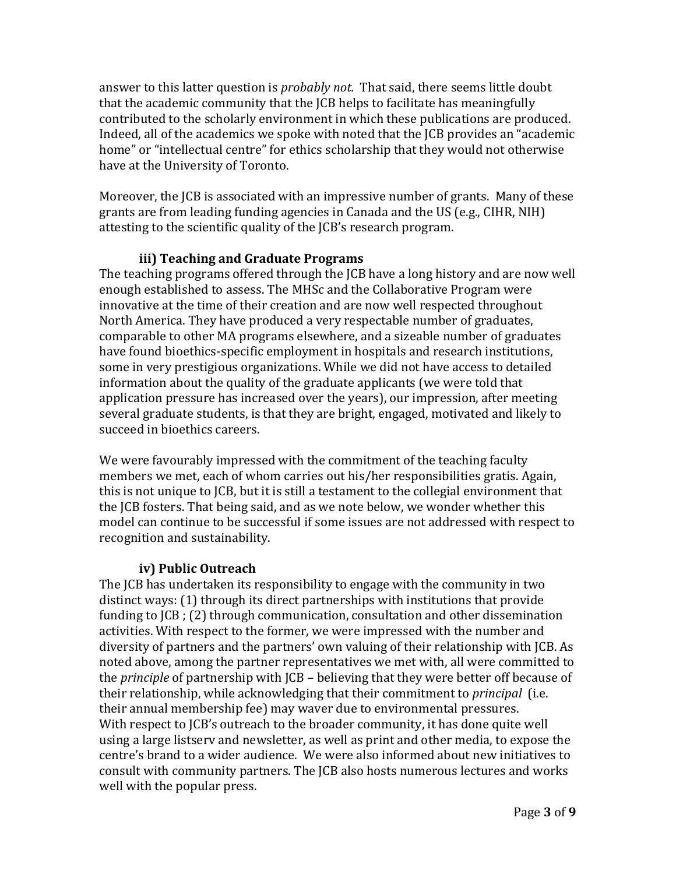answer to this latter question is *probably not.* That said, there seems little doubt that the academic community that the JCB helps to facilitate has meaningfully contributed to the scholarly environment in which these publications are produced. Indeed, all of the academics we spoke with noted that the JCB provides an "academic home" or "intellectual centre" for ethics scholarship that they would not otherwise have at the University of Toronto.

Moreover, the JCB is associated with an impressive number of grants. Many of these grants are from leading funding agencies in Canada and the US (e.g., CIHR, NIH) attesting to the scientific quality of the JCB's research program.

## **iii) Teaching and Graduate Programs**

The teaching programs offered through the JCB have a long history and are now well enough established to assess. The MHSc and the Collaborative Program were innovative at the time of their creation and are now well respected throughout North America. They have produced a very respectable number of graduates, comparable to other MA programs elsewhere, and a sizeable number of graduates have found bioethics-specific employment in hospitals and research institutions, some in very prestigious organizations. While we did not have access to detailed information about the quality of the graduate applicants (we were told that application pressure has increased over the years), our impression, after meeting several graduate students, is that they are bright, engaged, motivated and likely to succeed in bioethics careers.

We were favourably impressed with the commitment of the teaching faculty members we met, each of whom carries out his/her responsibilities gratis. Again, this is not unique to JCB, but it is still a testament to the collegial environment that the JCB fosters. That being said, and as we note below, we wonder whether this model can continue to be successful if some issues are not addressed with respect to recognition and sustainability.

### **iv) Public Outreach**

The JCB has undertaken its responsibility to engage with the community in two distinct ways: (1) through its direct partnerships with institutions that provide funding to JCB ; (2) through communication, consultation and other dissemination activities. With respect to the former, we were impressed with the number and diversity of partners and the partners' own valuing of their relationship with JCB. As noted above, among the partner representatives we met with, all were committed to the *principle* of partnership with JCB – believing that they were better off because of their relationship, while acknowledging that their commitment to *principal* (i.e. their annual membership fee) may waver due to environmental pressures. With respect to JCB's outreach to the broader community, it has done quite well using a large listserv and newsletter, as well as print and other media, to expose the centre's brand to a wider audience. We were also informed about new initiatives to consult with community partners. The JCB also hosts numerous lectures and works well with the popular press.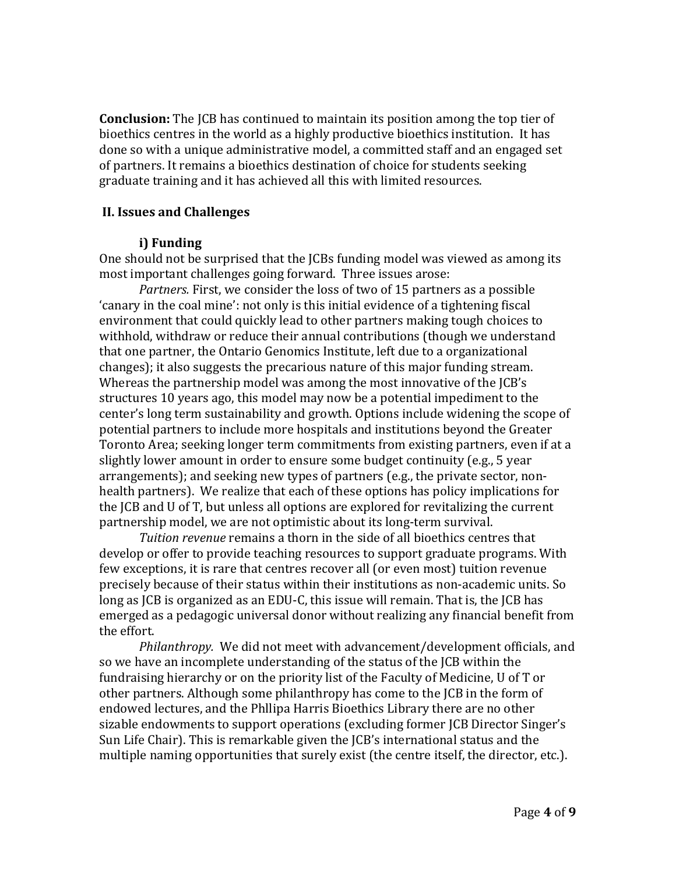**Conclusion:** The JCB has continued to maintain its position among the top tier of bioethics centres in the world as a highly productive bioethics institution. It has done so with a unique administrative model, a committed staff and an engaged set of partners. It remains a bioethics destination of choice for students seeking graduate training and it has achieved all this with limited resources.

#### **II. Issues and Challenges**

#### **i) Funding**

One should not be surprised that the JCBs funding model was viewed as among its most important challenges going forward. Three issues arose:

*Partners.* First, we consider the loss of two of 15 partners as a possible 'canary in the coal mine': not only is this initial evidence of a tightening fiscal environment that could quickly lead to other partners making tough choices to withhold, withdraw or reduce their annual contributions (though we understand that one partner, the Ontario Genomics Institute, left due to a organizational changes); it also suggests the precarious nature of this major funding stream. Whereas the partnership model was among the most innovative of the JCB's structures 10 years ago, this model may now be a potential impediment to the center's long term sustainability and growth. Options include widening the scope of potential partners to include more hospitals and institutions beyond the Greater Toronto Area; seeking longer term commitments from existing partners, even if at a slightly lower amount in order to ensure some budget continuity (e.g., 5 year arrangements); and seeking new types of partners (e.g., the private sector, non‐ health partners). We realize that each of these options has policy implications for the JCB and U of T, but unless all options are explored for revitalizing the current partnership model, we are not optimistic about its long‐term survival.

*Tuition revenue* remains a thorn in the side of all bioethics centres that develop or offer to provide teaching resources to support graduate programs. With few exceptions, it is rare that centres recover all (or even most) tuition revenue precisely because of their status within their institutions as non‐academic units. So long as JCB is organized as an EDU‐C, this issue will remain. That is, the JCB has emerged as a pedagogic universal donor without realizing any financial benefit from the effort.

*Philanthropy.* We did not meet with advancement/development officials, and so we have an incomplete understanding of the status of the JCB within the fundraising hierarchy or on the priority list of the Faculty of Medicine, U of T or other partners. Although some philanthropy has come to the JCB in the form of endowed lectures, and the Phllipa Harris Bioethics Library there are no other sizable endowments to support operations (excluding former JCB Director Singer's Sun Life Chair). This is remarkable given the JCB's international status and the multiple naming opportunities that surely exist (the centre itself, the director, etc.).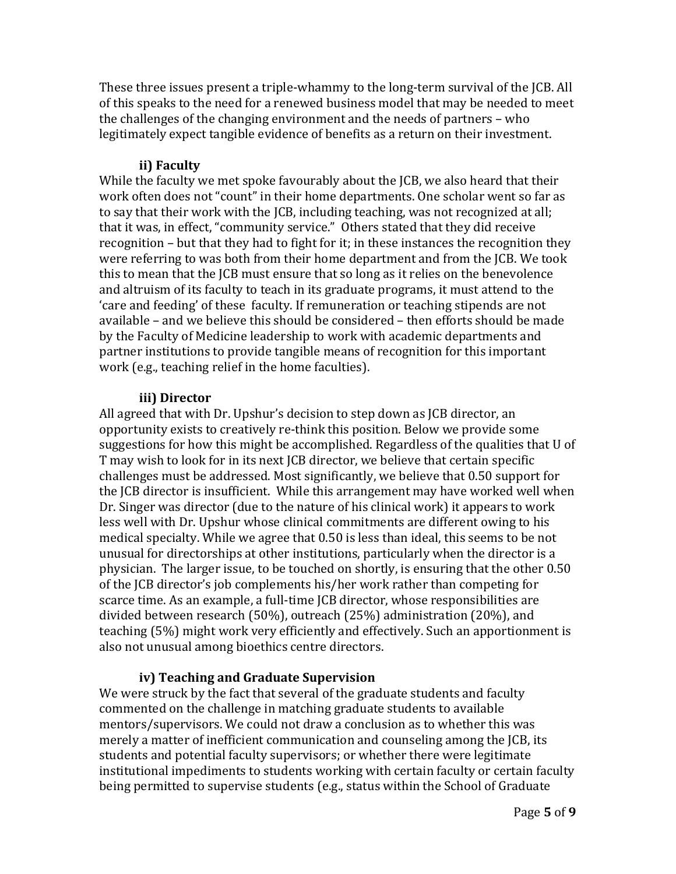These three issues present a triple‐whammy to the long‐term survival of the JCB. All of this speaks to the need for a renewed business model that may be needed to meet the challenges of the changing environment and the needs of partners – who legitimately expect tangible evidence of benefits as a return on their investment.

# **ii) Faculty**

While the faculty we met spoke favourably about the JCB, we also heard that their work often does not "count" in their home departments. One scholar went so far as to say that their work with the JCB, including teaching, was not recognized at all; that it was, in effect, "community service." Others stated that they did receive recognition – but that they had to fight for it; in these instances the recognition they were referring to was both from their home department and from the JCB. We took this to mean that the JCB must ensure that so long as it relies on the benevolence and altruism of its faculty to teach in its graduate programs, it must attend to the 'care and feeding' of these faculty. If remuneration or teaching stipends are not available – and we believe this should be considered – then efforts should be made by the Faculty of Medicine leadership to work with academic departments and partner institutions to provide tangible means of recognition for this important work (e.g., teaching relief in the home faculties).

### **iii) Director**

All agreed that with Dr. Upshur's decision to step down as JCB director, an opportunity exists to creatively re‐think this position. Below we provide some suggestions for how this might be accomplished. Regardless of the qualities that U of T may wish to look for in its next JCB director, we believe that certain specific challenges must be addressed. Most significantly, we believe that 0.50 support for the JCB director is insufficient. While this arrangement may have worked well when Dr. Singer was director (due to the nature of his clinical work) it appears to work less well with Dr. Upshur whose clinical commitments are different owing to his medical specialty. While we agree that 0.50 is less than ideal, this seems to be not unusual for directorships at other institutions, particularly when the director is a physician. The larger issue, to be touched on shortly, is ensuring that the other 0.50 of the JCB director's job complements his/her work rather than competing for scarce time. As an example, a full-time JCB director, whose responsibilities are divided between research (50%), outreach (25%) administration (20%), and teaching (5%) might work very efficiently and effectively. Such an apportionment is also not unusual among bioethics centre directors.

# **iv) Teaching and Graduate Supervision**

We were struck by the fact that several of the graduate students and faculty commented on the challenge in matching graduate students to available mentors/supervisors. We could not draw a conclusion as to whether this was merely a matter of inefficient communication and counseling among the JCB, its students and potential faculty supervisors; or whether there were legitimate institutional impediments to students working with certain faculty or certain faculty being permitted to supervise students (e.g., status within the School of Graduate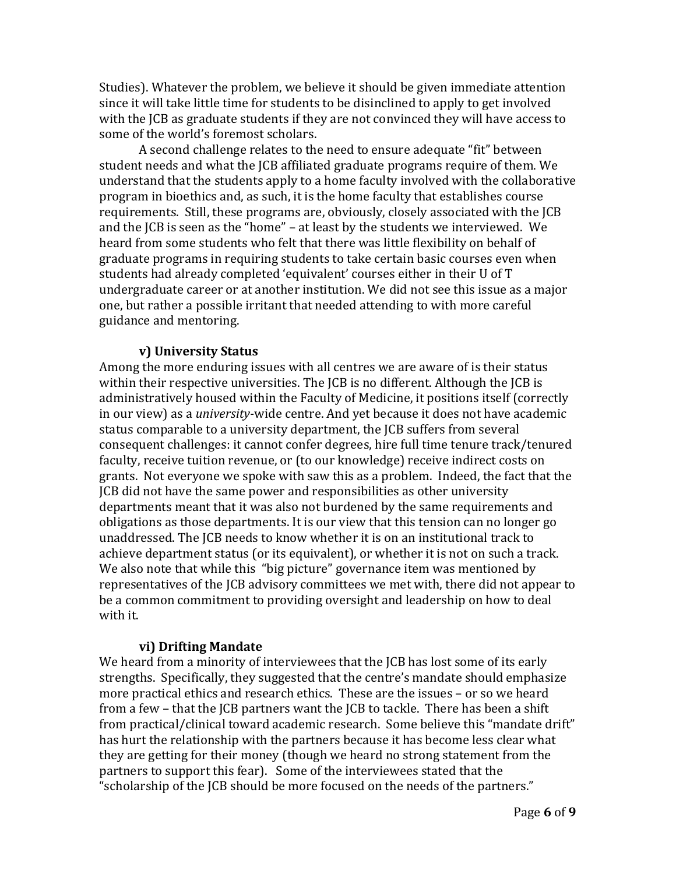Studies). Whatever the problem, we believe it should be given immediate attention since it will take little time for students to be disinclined to apply to get involved with the JCB as graduate students if they are not convinced they will have access to some of the world's foremost scholars.

A second challenge relates to the need to ensure adequate "fit" between student needs and what the JCB affiliated graduate programs require of them. We understand that the students apply to a home faculty involved with the collaborative program in bioethics and, as such, it is the home faculty that establishes course requirements. Still, these programs are, obviously, closely associated with the JCB and the JCB is seen as the "home" – at least by the students we interviewed. We heard from some students who felt that there was little flexibility on behalf of graduate programs in requiring students to take certain basic courses even when students had already completed 'equivalent' courses either in their U of T undergraduate career or at another institution. We did not see this issue as a major one, but rather a possible irritant that needed attending to with more careful guidance and mentoring.

#### **v) University Status**

Among the more enduring issues with all centres we are aware of is their status within their respective universities. The JCB is no different. Although the JCB is administratively housed within the Faculty of Medicine, it positions itself (correctly in our view) as a *university*-wide centre. And yet because it does not have academic status comparable to a university department, the JCB suffers from several consequent challenges: it cannot confer degrees, hire full time tenure track/tenured faculty, receive tuition revenue, or (to our knowledge) receive indirect costs on grants. Not everyone we spoke with saw this as a problem. Indeed, the fact that the JCB did not have the same power and responsibilities as other university departments meant that it was also not burdened by the same requirements and obligations as those departments. It is our view that this tension can no longer go unaddressed. The JCB needs to know whether it is on an institutional track to achieve department status (or its equivalent), or whether it is not on such a track. We also note that while this "big picture" governance item was mentioned by representatives of the JCB advisory committees we met with, there did not appear to be a common commitment to providing oversight and leadership on how to deal with it.

#### **vi) Drifting Mandate**

We heard from a minority of interviewees that the JCB has lost some of its early strengths. Specifically, they suggested that the centre's mandate should emphasize more practical ethics and research ethics. These are the issues – or so we heard from a few – that the JCB partners want the JCB to tackle. There has been a shift from practical/clinical toward academic research. Some believe this "mandate drift" has hurt the relationship with the partners because it has become less clear what they are getting for their money (though we heard no strong statement from the partners to support this fear). Some of the interviewees stated that the "scholarship of the JCB should be more focused on the needs of the partners."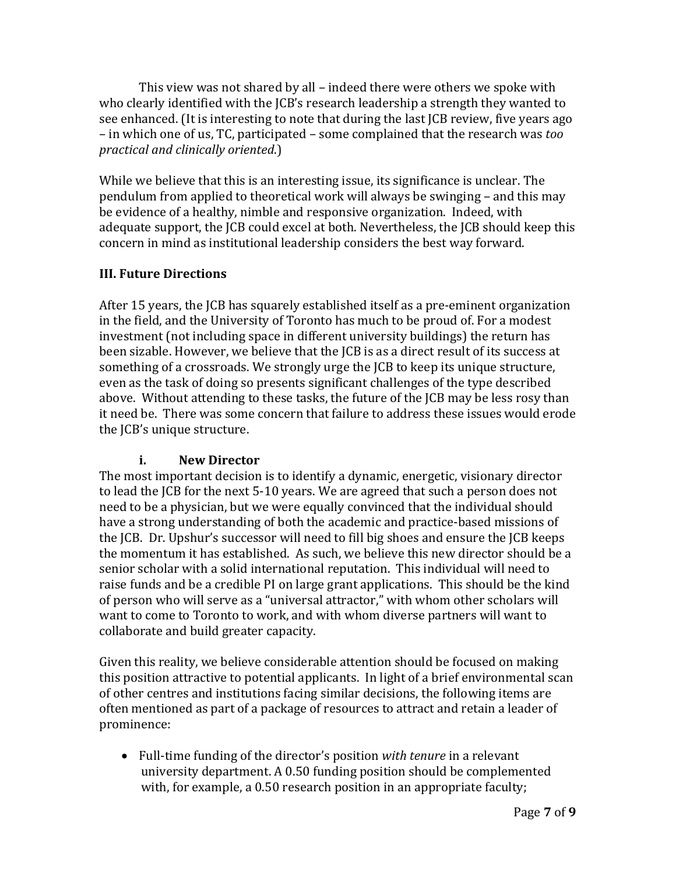This view was not shared by all – indeed there were others we spoke with who clearly identified with the JCB's research leadership a strength they wanted to see enhanced. (It is interesting to note that during the last JCB review, five years ago – in which one of us, TC, participated – some complained that the research was *too practical and clinically oriented*.)

While we believe that this is an interesting issue, its significance is unclear. The pendulum from applied to theoretical work will always be swinging – and this may be evidence of a healthy, nimble and responsive organization. Indeed, with adequate support, the JCB could excel at both. Nevertheless, the JCB should keep this oncern in mind as institutional leadership considers the best way forward. c

# **III. Future Directions**

After 15 years, the JCB has squarely established itself as a pre‐eminent organization in the field, and the University of Toronto has much to be proud of. For a modest investment (not including space in different university buildings) the return has been sizable. However, we believe that the JCB is as a direct result of its success at something of a crossroads. We strongly urge the JCB to keep its unique structure, even as the task of doing so presents significant challenges of the type described above. Without attending to these tasks, the future of the JCB may be less rosy than t need be. There was some concern that failure to address these issues would erode i the JCB's unique structure.

# **i. New Director**

The most important decision is to identify a dynamic, energetic, visionary director to lead the JCB for the next 5‐10 years. We are agreed that such a person does not need to be a physician, but we were equally convinced that the individual should have a strong understanding of both the academic and practice‐based missions of the JCB. Dr. Upshur's successor will need to fill big shoes and ensure the JCB keeps the momentum it has established. As such, we believe this new director should be a senior scholar with a solid international reputation. This individual will need to raise funds and be a credible PI on large grant applications. This should be the kind of person who will serve as a "universal attractor," with whom other scholars will want to come to Toronto to work, and with whom diverse partners will want to collaborate and build greater capacity.

prominence: Given this reality, we believe considerable attention should be focused on making this position attractive to potential applicants. In light of a brief environmental scan of other centres and institutions facing similar decisions, the following items are often mentioned as part of a package of resources to attract and retain a leader of

 Full‐time funding of the director's position *with tenure* in a relevant university department. A 0.50 funding position should be complemented with, for example, a 0.50 research position in an appropriate faculty;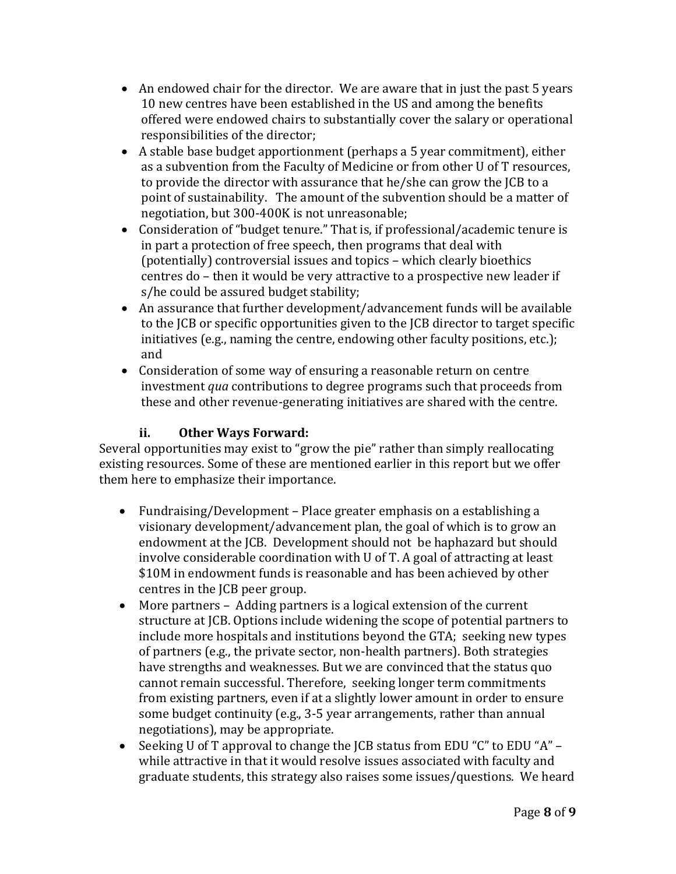- An endowed chair for the director. We are aware that in just the past 5 years 10 new centres have been established in the US and among the benefits offered were endowed chairs to substantially cover the salary or operational responsibilities of the director;
- A stable base budget apportionment (perhaps a 5 year commitment), either as a subvention from the Faculty of Medicine or from other U of T resources, to provide the director with assurance that he/she can grow the JCB to a point of sustainability. The amount of the subvention should be a matter of negotiation, but 300‐400K is not unreasonable;
- Consideration of "budget tenure." That is, if professional/academic tenure is in part a protection of free speech, then programs that deal with (potentially) controversial issues and topics – which clearly bioethics centres do – then it would be very attractive to a prospective new leader if s/he could be assured budget stability;
- An assurance that further development/advancement funds will be available to the JCB or specific opportunities given to the JCB director to target specific initiatives (e.g., naming the centre, endowing other faculty positions, etc.); and
- Consideration of some way of ensuring a reasonable return on centre investment *qua* contributions to degree programs such that proceeds from these and other revenue‐generating initiatives are shared with the centre.

# **ii. Other Ways Forward:**

Several opportunities may exist to "grow the pie" rather than simply reallocating existing resources. Some of these are mentioned earlier in this report but we offer them here to emphasize their importance.

- Fundraising/Development Place greater emphasis on a establishing a visionary development/advancement plan, the goal of which is to grow an endowment at the JCB. Development should not be haphazard but should involve considerable coordination with U of T. A goal of attracting at least \$10M in endowment funds is reasonable and has been achieved by other centres in the JCB peer group.
- some budget continuity (e.g., 3‐5 year arrangements, rather than annual negotiations), may be appropriate. More partners – Adding partners is a logical extension of the current structure at JCB. Options include widening the scope of potential partners to include more hospitals and institutions beyond the GTA; seeking new types of partners (e.g., the private sector, non‐health partners). Both strategies have strengths and weaknesses. But we are convinced that the status quo cannot remain successful. Therefore, seeking longer term commitments from existing partners, even if at a slightly lower amount in order to ensure
- Seeking U of T approval to change the JCB status from EDU "C" to EDU "A" while attractive in that it would resolve issues associated with faculty and graduate students, this strategy also raises some issues/questions. We heard